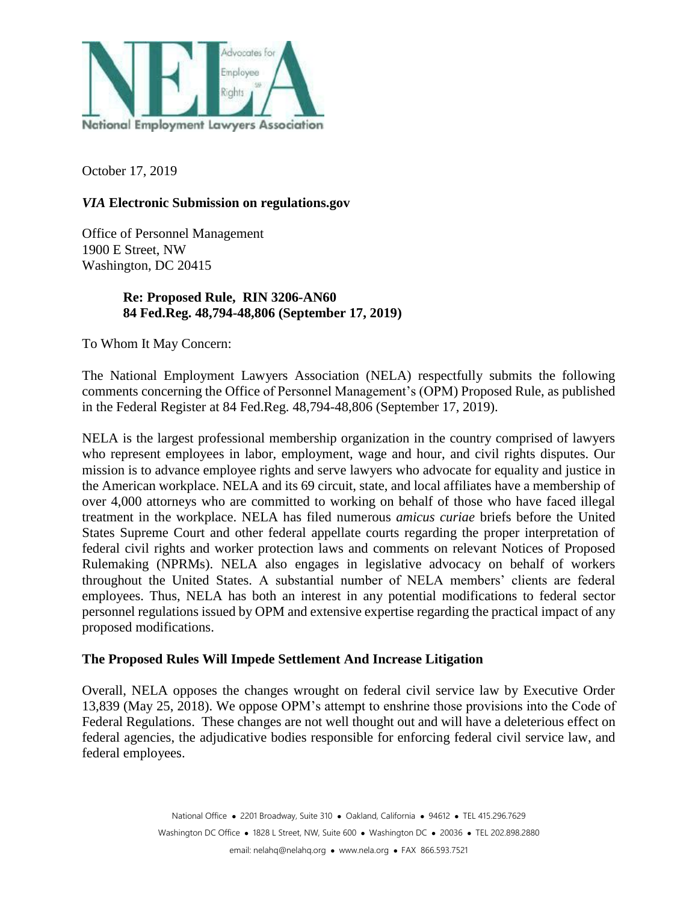

October 17, 2019

## *VIA* **Electronic Submission on regulations.gov**

Office of Personnel Management 1900 E Street, NW Washington, DC 20415

### **Re: Proposed Rule, RIN 3206-AN60 84 Fed.Reg. 48,794-48,806 (September 17, 2019)**

To Whom It May Concern:

The National Employment Lawyers Association (NELA) respectfully submits the following comments concerning the Office of Personnel Management's (OPM) Proposed Rule, as published in the Federal Register at 84 Fed.Reg. 48,794-48,806 (September 17, 2019).

NELA is the largest professional membership organization in the country comprised of lawyers who represent employees in labor, employment, wage and hour, and civil rights disputes. Our mission is to advance employee rights and serve lawyers who advocate for equality and justice in the American workplace. NELA and its 69 circuit, state, and local affiliates have a membership of over 4,000 attorneys who are committed to working on behalf of those who have faced illegal treatment in the workplace. NELA has filed numerous *amicus curiae* briefs before the United States Supreme Court and other federal appellate courts regarding the proper interpretation of federal civil rights and worker protection laws and comments on relevant Notices of Proposed Rulemaking (NPRMs). NELA also engages in legislative advocacy on behalf of workers throughout the United States. A substantial number of NELA members' clients are federal employees. Thus, NELA has both an interest in any potential modifications to federal sector personnel regulations issued by OPM and extensive expertise regarding the practical impact of any proposed modifications.

#### **The Proposed Rules Will Impede Settlement And Increase Litigation**

Overall, NELA opposes the changes wrought on federal civil service law by Executive Order 13,839 (May 25, 2018). We oppose OPM's attempt to enshrine those provisions into the Code of Federal Regulations. These changes are not well thought out and will have a deleterious effect on federal agencies, the adjudicative bodies responsible for enforcing federal civil service law, and federal employees.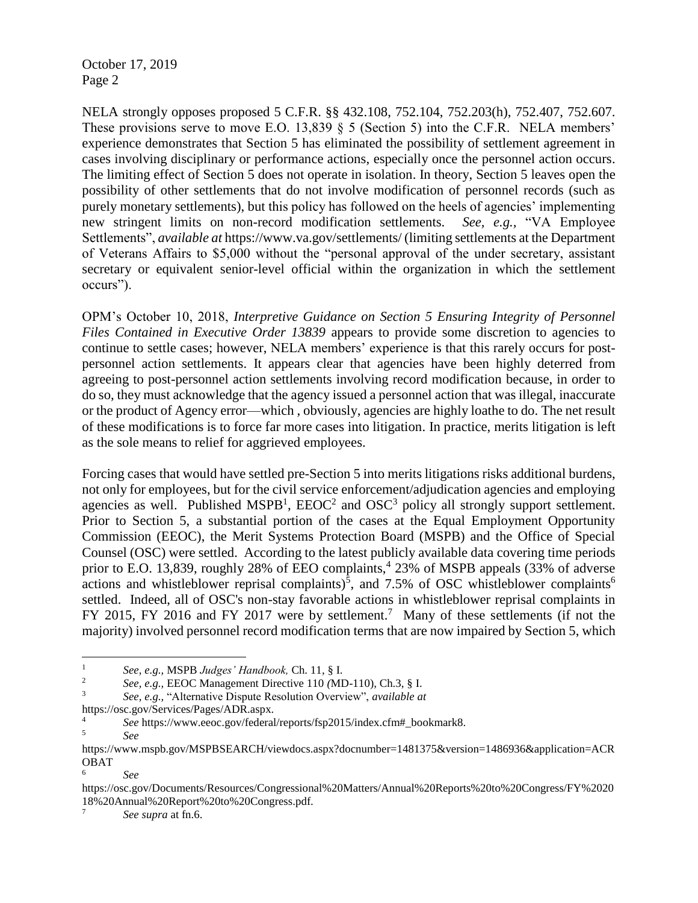NELA strongly opposes proposed 5 C.F.R. §§ 432.108, 752.104, 752.203(h), 752.407, 752.607. These provisions serve to move E.O. 13,839 § 5 (Section 5) into the C.F.R. NELA members' experience demonstrates that Section 5 has eliminated the possibility of settlement agreement in cases involving disciplinary or performance actions, especially once the personnel action occurs. The limiting effect of Section 5 does not operate in isolation. In theory, Section 5 leaves open the possibility of other settlements that do not involve modification of personnel records (such as purely monetary settlements), but this policy has followed on the heels of agencies' implementing new stringent limits on non-record modification settlements. *See, e.g.,* "VA Employee Settlements", *available at* https://www.va.gov/settlements/ (limiting settlements at the Department of Veterans Affairs to \$5,000 without the "personal approval of the under secretary, assistant secretary or equivalent senior-level official within the organization in which the settlement occurs").

OPM's October 10, 2018, *Interpretive Guidance on Section 5 Ensuring Integrity of Personnel Files Contained in Executive Order 13839* appears to provide some discretion to agencies to continue to settle cases; however, NELA members' experience is that this rarely occurs for postpersonnel action settlements. It appears clear that agencies have been highly deterred from agreeing to post-personnel action settlements involving record modification because, in order to do so, they must acknowledge that the agency issued a personnel action that was illegal, inaccurate or the product of Agency error—which , obviously, agencies are highly loathe to do. The net result of these modifications is to force far more cases into litigation. In practice, merits litigation is left as the sole means to relief for aggrieved employees.

Forcing cases that would have settled pre-Section 5 into merits litigations risks additional burdens, not only for employees, but for the civil service enforcement/adjudication agencies and employing agencies as well. Published MSPB<sup>1</sup>,  $EEOC<sup>2</sup>$  and  $OSC<sup>3</sup>$  policy all strongly support settlement. Prior to Section 5, a substantial portion of the cases at the Equal Employment Opportunity Commission (EEOC), the Merit Systems Protection Board (MSPB) and the Office of Special Counsel (OSC) were settled. According to the latest publicly available data covering time periods prior to E.O. 13,839, roughly 28% of EEO complaints,<sup>4</sup> 23% of MSPB appeals (33% of adverse actions and whistleblower reprisal complaints)<sup>5</sup>, and 7.5% of OSC whistleblower complaints<sup>6</sup> settled. Indeed, all of OSC's non-stay favorable actions in whistleblower reprisal complaints in FY 2015, FY 2016 and FY 2017 were by settlement.<sup>7</sup> Many of these settlements (if not the majority) involved personnel record modification terms that are now impaired by Section 5, which

 $\mathbf{1}$ <sup>1</sup> *See, e.g.,* MSPB *Judges' Handbook,* Ch. 11, § I.

<sup>2</sup> *See, e.g.,* EEOC Management Directive 110 *(*MD-110), Ch.3, § I.

<sup>3</sup> *See, e.g.,* "Alternative Dispute Resolution Overview", *available at* 

https://osc.gov/Services/Pages/ADR.aspx.

<sup>4</sup> *See* https://www.eeoc.gov/federal/reports/fsp2015/index.cfm#\_bookmark8.

<sup>5</sup> *See* 

https://www.mspb.gov/MSPBSEARCH/viewdocs.aspx?docnumber=1481375&version=1486936&application=ACR OBAT

<sup>6</sup> *See* 

https://osc.gov/Documents/Resources/Congressional%20Matters/Annual%20Reports%20to%20Congress/FY%2020 18%20Annual%20Report%20to%20Congress.pdf.

<sup>7</sup> *See supra* at fn.6.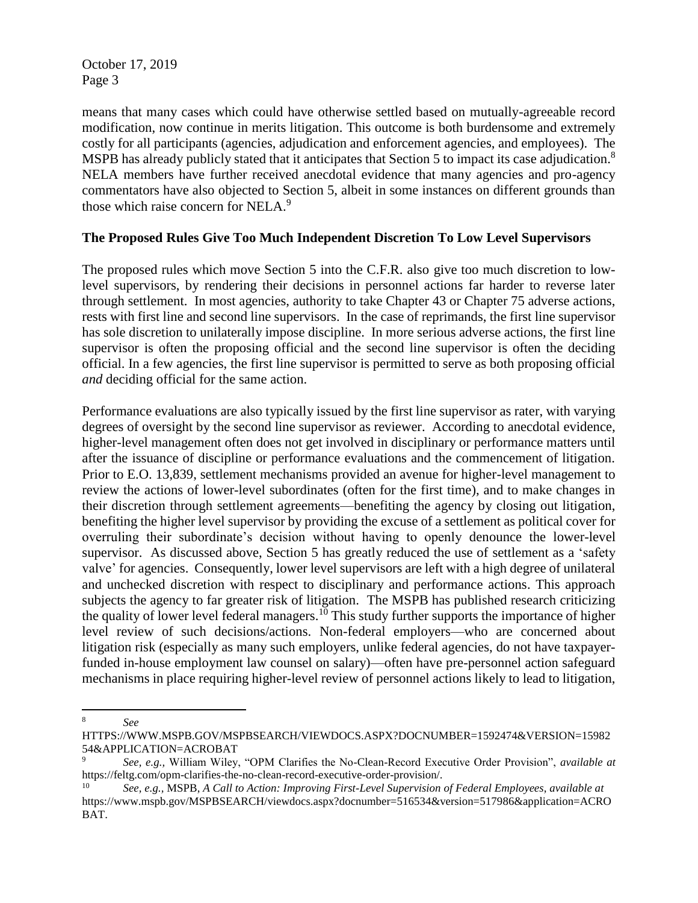means that many cases which could have otherwise settled based on mutually-agreeable record modification, now continue in merits litigation. This outcome is both burdensome and extremely costly for all participants (agencies, adjudication and enforcement agencies, and employees). The MSPB has already publicly stated that it anticipates that Section 5 to impact its case adjudication.<sup>8</sup> NELA members have further received anecdotal evidence that many agencies and pro-agency commentators have also objected to Section 5, albeit in some instances on different grounds than those which raise concern for NELA.<sup>9</sup>

## **The Proposed Rules Give Too Much Independent Discretion To Low Level Supervisors**

The proposed rules which move Section 5 into the C.F.R. also give too much discretion to lowlevel supervisors, by rendering their decisions in personnel actions far harder to reverse later through settlement. In most agencies, authority to take Chapter 43 or Chapter 75 adverse actions, rests with first line and second line supervisors. In the case of reprimands, the first line supervisor has sole discretion to unilaterally impose discipline. In more serious adverse actions, the first line supervisor is often the proposing official and the second line supervisor is often the deciding official. In a few agencies, the first line supervisor is permitted to serve as both proposing official *and* deciding official for the same action.

Performance evaluations are also typically issued by the first line supervisor as rater, with varying degrees of oversight by the second line supervisor as reviewer. According to anecdotal evidence, higher-level management often does not get involved in disciplinary or performance matters until after the issuance of discipline or performance evaluations and the commencement of litigation. Prior to E.O. 13,839, settlement mechanisms provided an avenue for higher-level management to review the actions of lower-level subordinates (often for the first time), and to make changes in their discretion through settlement agreements—benefiting the agency by closing out litigation, benefiting the higher level supervisor by providing the excuse of a settlement as political cover for overruling their subordinate's decision without having to openly denounce the lower-level supervisor. As discussed above, Section 5 has greatly reduced the use of settlement as a 'safety valve' for agencies. Consequently, lower level supervisors are left with a high degree of unilateral and unchecked discretion with respect to disciplinary and performance actions. This approach subjects the agency to far greater risk of litigation. The MSPB has published research criticizing the quality of lower level federal managers.<sup>10</sup> This study further supports the importance of higher level review of such decisions/actions. Non-federal employers—who are concerned about litigation risk (especially as many such employers, unlike federal agencies, do not have taxpayerfunded in-house employment law counsel on salary)—often have pre-personnel action safeguard mechanisms in place requiring higher-level review of personnel actions likely to lead to litigation,

 $\overline{a}$ 

<sup>8</sup> *See* 

HTTPS://WWW.MSPB.GOV/MSPBSEARCH/VIEWDOCS.ASPX?DOCNUMBER=1592474&VERSION=15982 54&APPLICATION=ACROBAT

<sup>9</sup> *See, e.g.,* William Wiley, "OPM Clarifies the No-Clean-Record Executive Order Provision", *available at*  https://feltg.com/opm-clarifies-the-no-clean-record-executive-order-provision/.

<sup>10</sup> *See, e.g.,* MSPB, *A Call to Action: Improving First-Level Supervision of Federal Employees*, *available at*  https://www.mspb.gov/MSPBSEARCH/viewdocs.aspx?docnumber=516534&version=517986&application=ACRO BAT.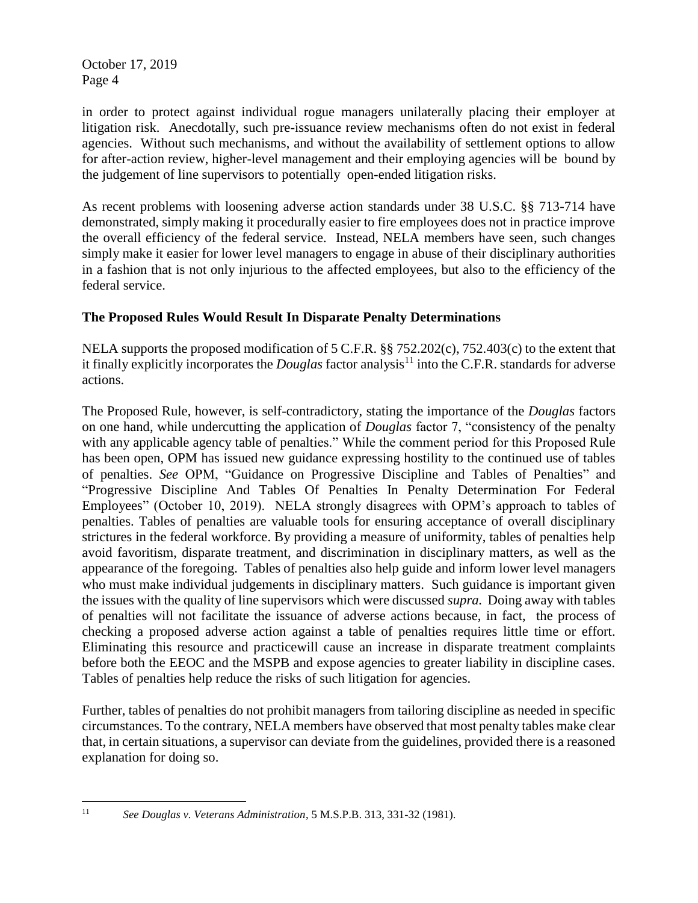in order to protect against individual rogue managers unilaterally placing their employer at litigation risk. Anecdotally, such pre-issuance review mechanisms often do not exist in federal agencies. Without such mechanisms, and without the availability of settlement options to allow for after-action review, higher-level management and their employing agencies will be bound by the judgement of line supervisors to potentially open-ended litigation risks.

As recent problems with loosening adverse action standards under 38 U.S.C. §§ 713-714 have demonstrated, simply making it procedurally easier to fire employees does not in practice improve the overall efficiency of the federal service. Instead, NELA members have seen, such changes simply make it easier for lower level managers to engage in abuse of their disciplinary authorities in a fashion that is not only injurious to the affected employees, but also to the efficiency of the federal service.

# **The Proposed Rules Would Result In Disparate Penalty Determinations**

NELA supports the proposed modification of 5 C.F.R. §§ 752.202(c), 752.403(c) to the extent that it finally explicitly incorporates the *Douglas* factor analysis<sup>11</sup> into the C.F.R. standards for adverse actions.

The Proposed Rule, however, is self-contradictory, stating the importance of the *Douglas* factors on one hand, while undercutting the application of *Douglas* factor 7, "consistency of the penalty with any applicable agency table of penalties." While the comment period for this Proposed Rule has been open, OPM has issued new guidance expressing hostility to the continued use of tables of penalties. *See* OPM, "Guidance on Progressive Discipline and Tables of Penalties" and "Progressive Discipline And Tables Of Penalties In Penalty Determination For Federal Employees" (October 10, 2019). NELA strongly disagrees with OPM's approach to tables of penalties. Tables of penalties are valuable tools for ensuring acceptance of overall disciplinary strictures in the federal workforce. By providing a measure of uniformity, tables of penalties help avoid favoritism, disparate treatment, and discrimination in disciplinary matters, as well as the appearance of the foregoing. Tables of penalties also help guide and inform lower level managers who must make individual judgements in disciplinary matters. Such guidance is important given the issues with the quality of line supervisors which were discussed *supra.* Doing away with tables of penalties will not facilitate the issuance of adverse actions because, in fact, the process of checking a proposed adverse action against a table of penalties requires little time or effort. Eliminating this resource and practicewill cause an increase in disparate treatment complaints before both the EEOC and the MSPB and expose agencies to greater liability in discipline cases. Tables of penalties help reduce the risks of such litigation for agencies.

Further, tables of penalties do not prohibit managers from tailoring discipline as needed in specific circumstances. To the contrary, NELA members have observed that most penalty tables make clear that, in certain situations, a supervisor can deviate from the guidelines, provided there is a reasoned explanation for doing so.

 $11$ 

<sup>11</sup> *See Douglas v. Veterans Administration*, 5 M.S.P.B. 313, 331-32 (1981).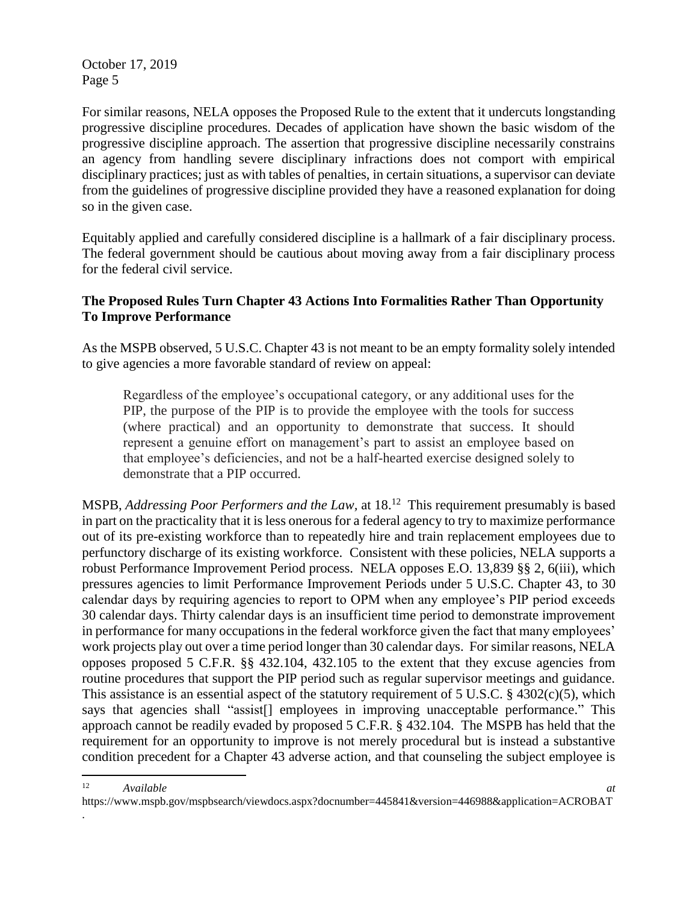.

For similar reasons, NELA opposes the Proposed Rule to the extent that it undercuts longstanding progressive discipline procedures. Decades of application have shown the basic wisdom of the progressive discipline approach. The assertion that progressive discipline necessarily constrains an agency from handling severe disciplinary infractions does not comport with empirical disciplinary practices; just as with tables of penalties, in certain situations, a supervisor can deviate from the guidelines of progressive discipline provided they have a reasoned explanation for doing so in the given case.

Equitably applied and carefully considered discipline is a hallmark of a fair disciplinary process. The federal government should be cautious about moving away from a fair disciplinary process for the federal civil service.

# **The Proposed Rules Turn Chapter 43 Actions Into Formalities Rather Than Opportunity To Improve Performance**

As the MSPB observed, 5 U.S.C. Chapter 43 is not meant to be an empty formality solely intended to give agencies a more favorable standard of review on appeal:

Regardless of the employee's occupational category, or any additional uses for the PIP, the purpose of the PIP is to provide the employee with the tools for success (where practical) and an opportunity to demonstrate that success. It should represent a genuine effort on management's part to assist an employee based on that employee's deficiencies, and not be a half-hearted exercise designed solely to demonstrate that a PIP occurred.

MSPB, *Addressing Poor Performers and the Law*, at 18.<sup>12</sup> This requirement presumably is based in part on the practicality that it is less onerous for a federal agency to try to maximize performance out of its pre-existing workforce than to repeatedly hire and train replacement employees due to perfunctory discharge of its existing workforce. Consistent with these policies, NELA supports a robust Performance Improvement Period process. NELA opposes E.O. 13,839 §§ 2, 6(iii), which pressures agencies to limit Performance Improvement Periods under 5 U.S.C. Chapter 43, to 30 calendar days by requiring agencies to report to OPM when any employee's PIP period exceeds 30 calendar days. Thirty calendar days is an insufficient time period to demonstrate improvement in performance for many occupations in the federal workforce given the fact that many employees' work projects play out over a time period longer than 30 calendar days. For similar reasons, NELA opposes proposed 5 C.F.R. §§ 432.104, 432.105 to the extent that they excuse agencies from routine procedures that support the PIP period such as regular supervisor meetings and guidance. This assistance is an essential aspect of the statutory requirement of  $5 \text{ U.S.C.}$  §  $4302(c)(5)$ , which says that agencies shall "assist<sup>[]</sup> employees in improving unacceptable performance." This approach cannot be readily evaded by proposed 5 C.F.R. § 432.104. The MSPB has held that the requirement for an opportunity to improve is not merely procedural but is instead a substantive condition precedent for a Chapter 43 adverse action, and that counseling the subject employee is

 $\overline{a}$ <sup>12</sup> *Available at*  https://www.mspb.gov/mspbsearch/viewdocs.aspx?docnumber=445841&version=446988&application=ACROBAT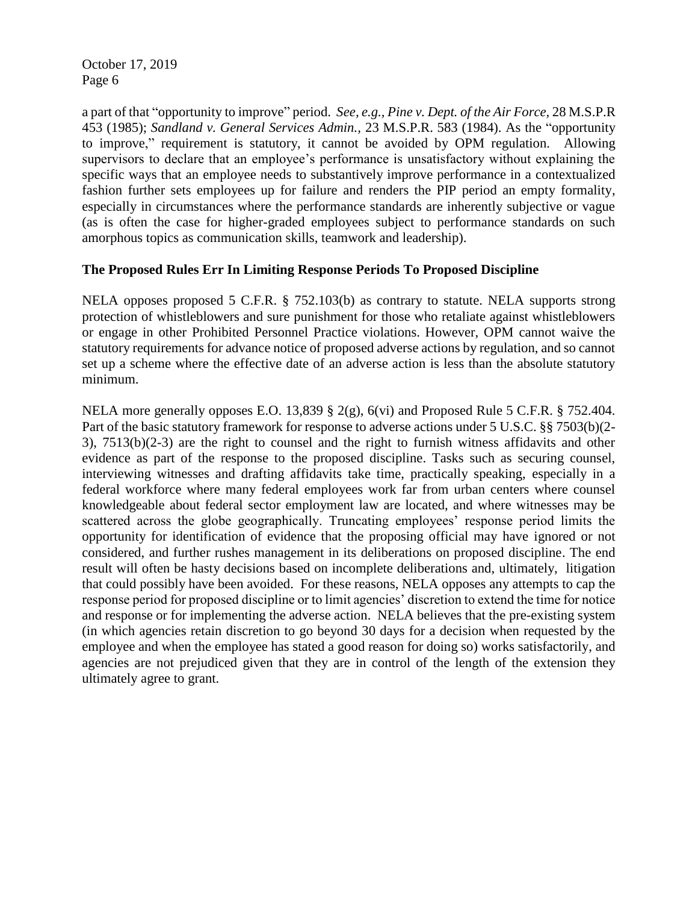a part of that "opportunity to improve" period. *See, e.g., Pine v. Dept. of the Air Force,* 28 M.S.P.R 453 (1985); *Sandland v. General Services Admin.,* 23 M.S.P.R. 583 (1984). As the "opportunity to improve," requirement is statutory, it cannot be avoided by OPM regulation. Allowing supervisors to declare that an employee's performance is unsatisfactory without explaining the specific ways that an employee needs to substantively improve performance in a contextualized fashion further sets employees up for failure and renders the PIP period an empty formality, especially in circumstances where the performance standards are inherently subjective or vague (as is often the case for higher-graded employees subject to performance standards on such amorphous topics as communication skills, teamwork and leadership).

#### **The Proposed Rules Err In Limiting Response Periods To Proposed Discipline**

NELA opposes proposed 5 C.F.R. § 752.103(b) as contrary to statute. NELA supports strong protection of whistleblowers and sure punishment for those who retaliate against whistleblowers or engage in other Prohibited Personnel Practice violations. However, OPM cannot waive the statutory requirements for advance notice of proposed adverse actions by regulation, and so cannot set up a scheme where the effective date of an adverse action is less than the absolute statutory minimum.

NELA more generally opposes E.O. 13,839 § 2(g), 6(vi) and Proposed Rule 5 C.F.R. § 752.404. Part of the basic statutory framework for response to adverse actions under 5 U.S.C. §§ 7503(b)(2- 3), 7513(b)(2-3) are the right to counsel and the right to furnish witness affidavits and other evidence as part of the response to the proposed discipline. Tasks such as securing counsel, interviewing witnesses and drafting affidavits take time, practically speaking, especially in a federal workforce where many federal employees work far from urban centers where counsel knowledgeable about federal sector employment law are located, and where witnesses may be scattered across the globe geographically. Truncating employees' response period limits the opportunity for identification of evidence that the proposing official may have ignored or not considered, and further rushes management in its deliberations on proposed discipline. The end result will often be hasty decisions based on incomplete deliberations and, ultimately, litigation that could possibly have been avoided. For these reasons, NELA opposes any attempts to cap the response period for proposed discipline or to limit agencies' discretion to extend the time for notice and response or for implementing the adverse action. NELA believes that the pre-existing system (in which agencies retain discretion to go beyond 30 days for a decision when requested by the employee and when the employee has stated a good reason for doing so) works satisfactorily, and agencies are not prejudiced given that they are in control of the length of the extension they ultimately agree to grant.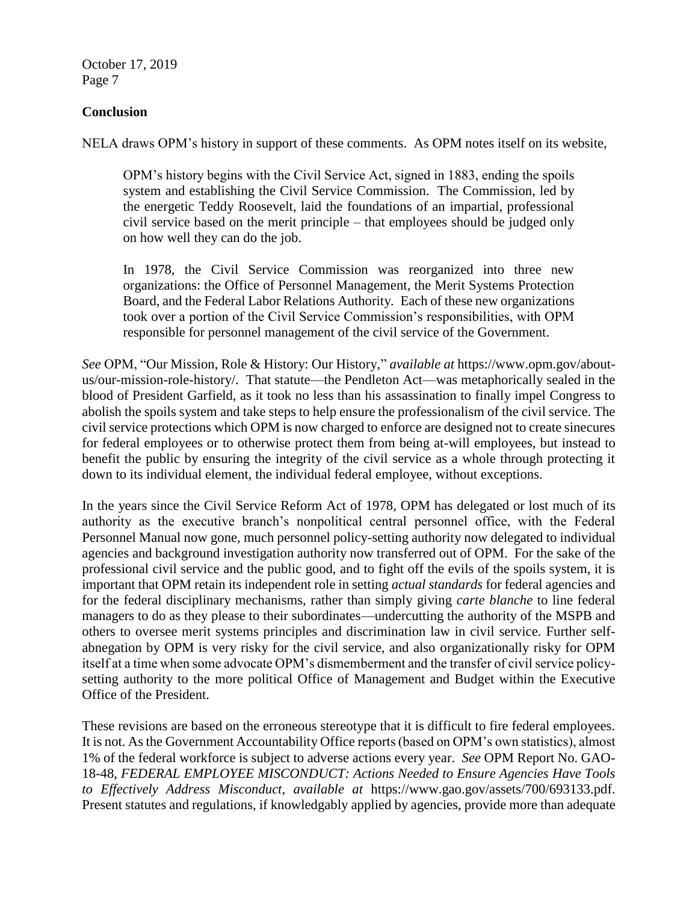### **Conclusion**

NELA draws OPM's history in support of these comments. As OPM notes itself on its website,

OPM's history begins with the Civil Service Act, signed in 1883, ending the spoils system and establishing the Civil Service Commission. The Commission, led by the energetic Teddy Roosevelt, laid the foundations of an impartial, professional civil service based on the merit principle – that employees should be judged only on how well they can do the job.

In 1978, the Civil Service Commission was reorganized into three new organizations: the Office of Personnel Management, the Merit Systems Protection Board, and the Federal Labor Relations Authority. Each of these new organizations took over a portion of the Civil Service Commission's responsibilities, with OPM responsible for personnel management of the civil service of the Government.

*See* OPM, "Our Mission, Role & History: Our History," *available at* https://www.opm.gov/aboutus/our-mission-role-history/. That statute—the Pendleton Act—was metaphorically sealed in the blood of President Garfield, as it took no less than his assassination to finally impel Congress to abolish the spoils system and take steps to help ensure the professionalism of the civil service. The civil service protections which OPM is now charged to enforce are designed not to create sinecures for federal employees or to otherwise protect them from being at-will employees, but instead to benefit the public by ensuring the integrity of the civil service as a whole through protecting it down to its individual element, the individual federal employee, without exceptions.

In the years since the Civil Service Reform Act of 1978, OPM has delegated or lost much of its authority as the executive branch's nonpolitical central personnel office, with the Federal Personnel Manual now gone, much personnel policy-setting authority now delegated to individual agencies and background investigation authority now transferred out of OPM. For the sake of the professional civil service and the public good, and to fight off the evils of the spoils system, it is important that OPM retain its independent role in setting *actual standards* for federal agencies and for the federal disciplinary mechanisms, rather than simply giving *carte blanche* to line federal managers to do as they please to their subordinates—undercutting the authority of the MSPB and others to oversee merit systems principles and discrimination law in civil service. Further selfabnegation by OPM is very risky for the civil service, and also organizationally risky for OPM itself at a time when some advocate OPM's dismemberment and the transfer of civil service policysetting authority to the more political Office of Management and Budget within the Executive Office of the President.

These revisions are based on the erroneous stereotype that it is difficult to fire federal employees. It is not. As the Government Accountability Office reports (based on OPM's own statistics), almost 1% of the federal workforce is subject to adverse actions every year. *See* OPM Report No. GAO-18-48, *FEDERAL EMPLOYEE MISCONDUCT: Actions Needed to Ensure Agencies Have Tools to Effectively Address Misconduct, available at* https://www.gao.gov/assets/700/693133.pdf. Present statutes and regulations, if knowledgably applied by agencies, provide more than adequate